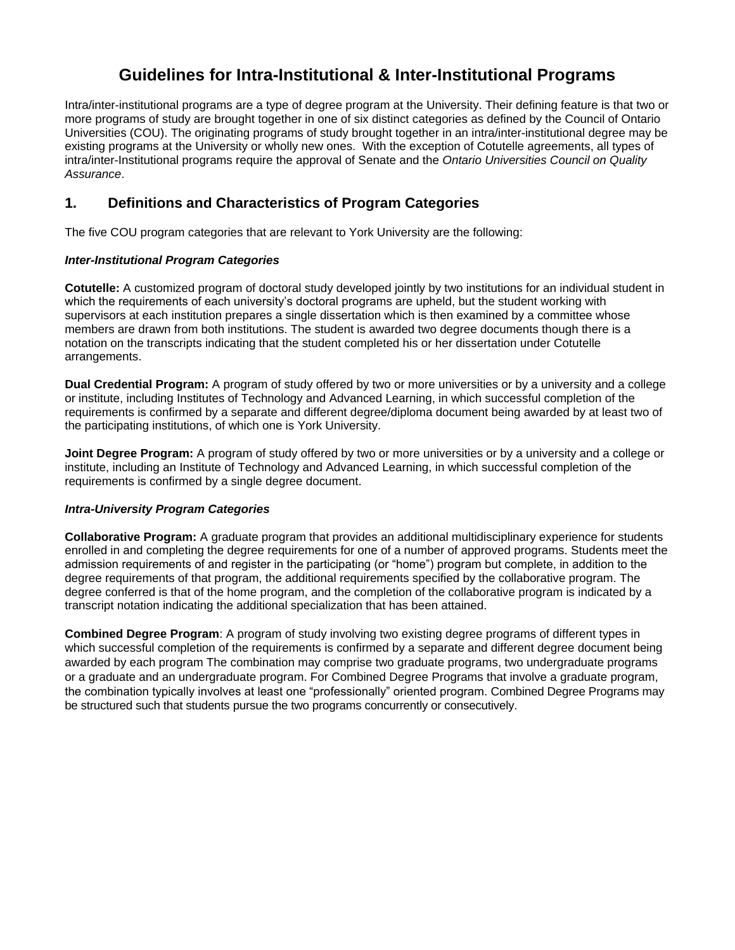# **Guidelines for Intra-Institutional & Inter-Institutional Programs**

Intra/inter-institutional programs are a type of degree program at the University. Their defining feature is that two or more programs of study are brought together in one of six distinct categories as defined by the Council of Ontario Universities (COU). The originating programs of study brought together in an intra/inter-institutional degree may be existing programs at the University or wholly new ones. With the exception of Cotutelle agreements, all types of intra/inter-Institutional programs require the approval of Senate and the *Ontario Universities Council on Quality Assurance*.

## **1. Definitions and Characteristics of Program Categories**

The five COU program categories that are relevant to York University are the following:

## *Inter-Institutional Program Categories*

**Cotutelle:** A customized program of doctoral study developed jointly by two institutions for an individual student in which the requirements of each university's doctoral programs are upheld, but the student working with supervisors at each institution prepares a single dissertation which is then examined by a committee whose members are drawn from both institutions. The student is awarded two degree documents though there is a notation on the transcripts indicating that the student completed his or her dissertation under Cotutelle arrangements.

**Dual Credential Program:** A program of study offered by two or more universities or by a university and a college or institute, including Institutes of Technology and Advanced Learning, in which successful completion of the requirements is confirmed by a separate and different degree/diploma document being awarded by at least two of the participating institutions, of which one is York University.

**Joint Degree Program:** A program of study offered by two or more universities or by a university and a college or institute, including an Institute of Technology and Advanced Learning, in which successful completion of the requirements is confirmed by a single degree document.

## *Intra-University Program Categories*

**Collaborative Program:** A graduate program that provides an additional multidisciplinary experience for students enrolled in and completing the degree requirements for one of a number of approved programs. Students meet the admission requirements of and register in the participating (or "home") program but complete, in addition to the degree requirements of that program, the additional requirements specified by the collaborative program. The degree conferred is that of the home program, and the completion of the collaborative program is indicated by a transcript notation indicating the additional specialization that has been attained.

**Combined Degree Program**: A program of study involving two existing degree programs of different types in which successful completion of the requirements is confirmed by a separate and different degree document being awarded by each program The combination may comprise two graduate programs, two undergraduate programs or a graduate and an undergraduate program. For Combined Degree Programs that involve a graduate program, the combination typically involves at least one "professionally" oriented program. Combined Degree Programs may be structured such that students pursue the two programs concurrently or consecutively.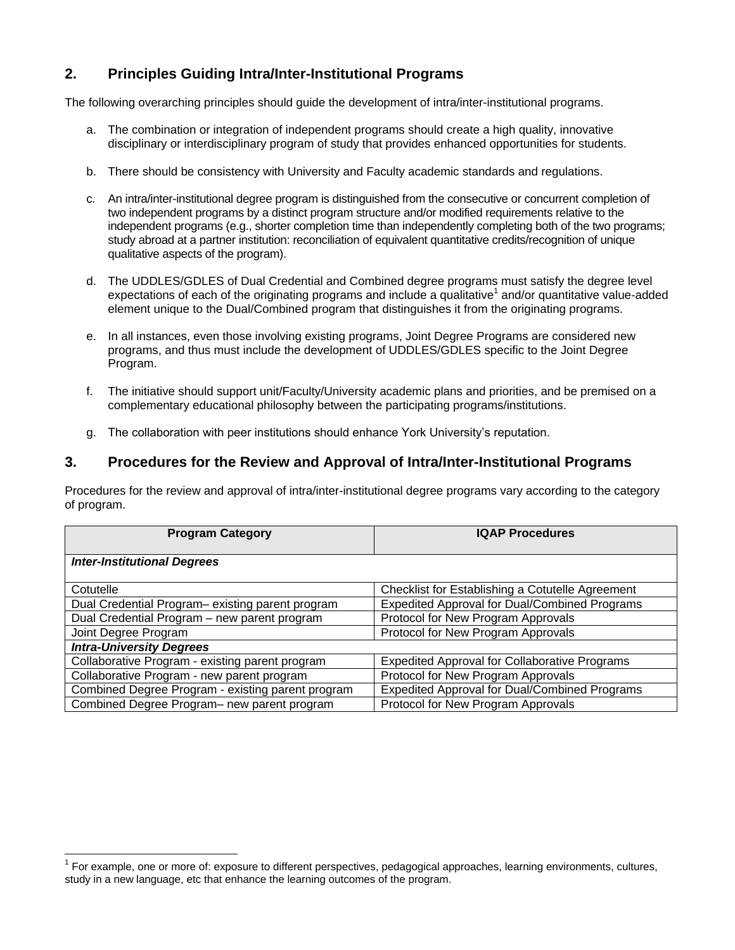## **2. Principles Guiding Intra/Inter-Institutional Programs**

The following overarching principles should guide the development of intra/inter-institutional programs.

- a. The combination or integration of independent programs should create a high quality, innovative disciplinary or interdisciplinary program of study that provides enhanced opportunities for students.
- b. There should be consistency with University and Faculty academic standards and regulations.
- c. An intra/inter-institutional degree program is distinguished from the consecutive or concurrent completion of two independent programs by a distinct program structure and/or modified requirements relative to the independent programs (e.g., shorter completion time than independently completing both of the two programs; study abroad at a partner institution: reconciliation of equivalent quantitative credits/recognition of unique qualitative aspects of the program).
- d. The UDDLES/GDLES of Dual Credential and Combined degree programs must satisfy the degree level expectations of each of the originating programs and include a qualitative<sup>1</sup> and/or quantitative value-added element unique to the Dual/Combined program that distinguishes it from the originating programs.
- e. In all instances, even those involving existing programs, Joint Degree Programs are considered new programs, and thus must include the development of UDDLES/GDLES specific to the Joint Degree Program.
- f. The initiative should support unit/Faculty/University academic plans and priorities, and be premised on a complementary educational philosophy between the participating programs/institutions.
- g. The collaboration with peer institutions should enhance York University's reputation.

## **3. Procedures for the Review and Approval of Intra/Inter-Institutional Programs**

Procedures for the review and approval of intra/inter-institutional degree programs vary according to the category of program.

| <b>Program Category</b>                           | <b>IQAP Procedures</b>                               |
|---------------------------------------------------|------------------------------------------------------|
| <b>Inter-Institutional Degrees</b>                |                                                      |
| Cotutelle                                         | Checklist for Establishing a Cotutelle Agreement     |
| Dual Credential Program-existing parent program   | <b>Expedited Approval for Dual/Combined Programs</b> |
| Dual Credential Program - new parent program      | Protocol for New Program Approvals                   |
| Joint Degree Program                              | Protocol for New Program Approvals                   |
| <b>Intra-University Degrees</b>                   |                                                      |
| Collaborative Program - existing parent program   | <b>Expedited Approval for Collaborative Programs</b> |
| Collaborative Program - new parent program        | Protocol for New Program Approvals                   |
| Combined Degree Program - existing parent program | Expedited Approval for Dual/Combined Programs        |
| Combined Degree Program- new parent program       | Protocol for New Program Approvals                   |

 $\overline{a}$ 

<sup>&</sup>lt;sup>1</sup> For example, one or more of: exposure to different perspectives, pedagogical approaches, learning environments, cultures, study in a new language, etc that enhance the learning outcomes of the program.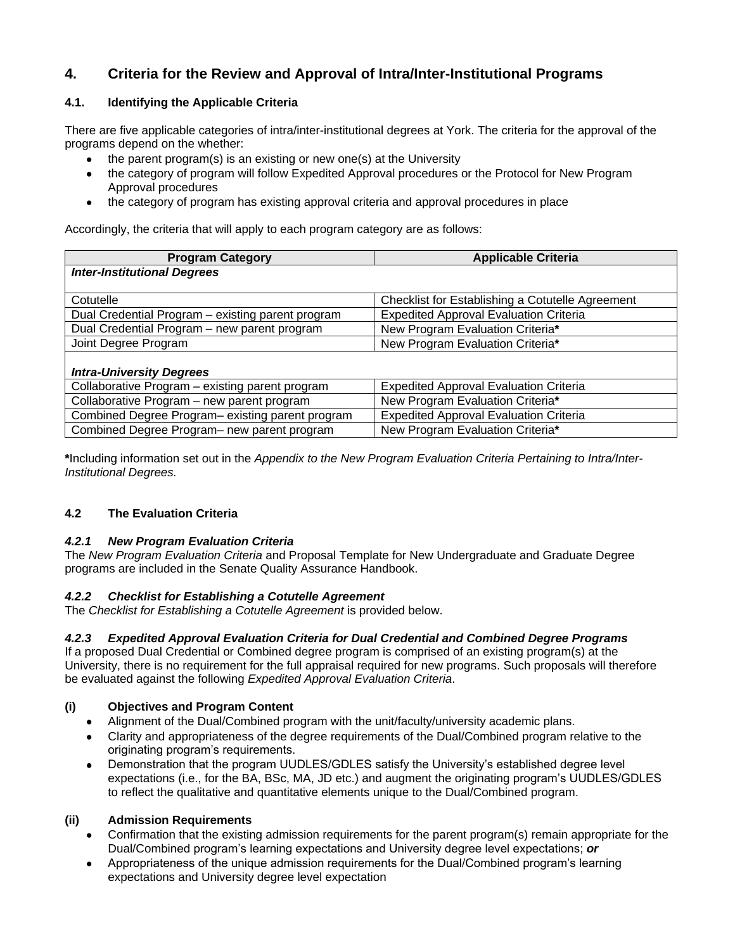## **4. Criteria for the Review and Approval of Intra/Inter-Institutional Programs**

## **4.1. Identifying the Applicable Criteria**

There are five applicable categories of intra/inter-institutional degrees at York. The criteria for the approval of the programs depend on the whether:

- the parent program(s) is an existing or new one(s) at the University
- the category of program will follow Expedited Approval procedures or the Protocol for New Program Approval procedures
- the category of program has existing approval criteria and approval procedures in place

Accordingly, the criteria that will apply to each program category are as follows:

| <b>Program Category</b>                           | <b>Applicable Criteria</b>                       |
|---------------------------------------------------|--------------------------------------------------|
| <b>Inter-Institutional Degrees</b>                |                                                  |
|                                                   |                                                  |
| Cotutelle                                         | Checklist for Establishing a Cotutelle Agreement |
| Dual Credential Program - existing parent program | <b>Expedited Approval Evaluation Criteria</b>    |
| Dual Credential Program - new parent program      | New Program Evaluation Criteria*                 |
| Joint Degree Program                              | New Program Evaluation Criteria*                 |
|                                                   |                                                  |
| <b>Intra-University Degrees</b>                   |                                                  |
| Collaborative Program - existing parent program   | <b>Expedited Approval Evaluation Criteria</b>    |
| Collaborative Program - new parent program        | New Program Evaluation Criteria*                 |
| Combined Degree Program-existing parent program   | <b>Expedited Approval Evaluation Criteria</b>    |
| Combined Degree Program- new parent program       | New Program Evaluation Criteria*                 |

**\***Including information set out in the *Appendix to the New Program Evaluation Criteria Pertaining to Intra/Inter-Institutional Degrees.*

## **4.2 The Evaluation Criteria**

## *4.2.1 New Program Evaluation Criteria*

The *New Program Evaluation Criteria* and Proposal Template for New Undergraduate and Graduate Degree programs are included in the Senate Quality Assurance Handbook.

## *4.2.2 Checklist for Establishing a Cotutelle Agreement*

The *Checklist for Establishing a Cotutelle Agreement* is provided below.

## *4.2.3 Expedited Approval Evaluation Criteria for Dual Credential and Combined Degree Programs*

If a proposed Dual Credential or Combined degree program is comprised of an existing program(s) at the University, there is no requirement for the full appraisal required for new programs. Such proposals will therefore be evaluated against the following *Expedited Approval Evaluation Criteria*.

## **(i) Objectives and Program Content**

- Alignment of the Dual/Combined program with the unit/faculty/university academic plans.
- Clarity and appropriateness of the degree requirements of the Dual/Combined program relative to the originating program's requirements.
- Demonstration that the program UUDLES/GDLES satisfy the University's established degree level expectations (i.e., for the BA, BSc, MA, JD etc.) and augment the originating program's UUDLES/GDLES to reflect the qualitative and quantitative elements unique to the Dual/Combined program.

## **(ii) Admission Requirements**

- Confirmation that the existing admission requirements for the parent program(s) remain appropriate for the Dual/Combined program's learning expectations and University degree level expectations; *or*
- Appropriateness of the unique admission requirements for the Dual/Combined program's learning expectations and University degree level expectation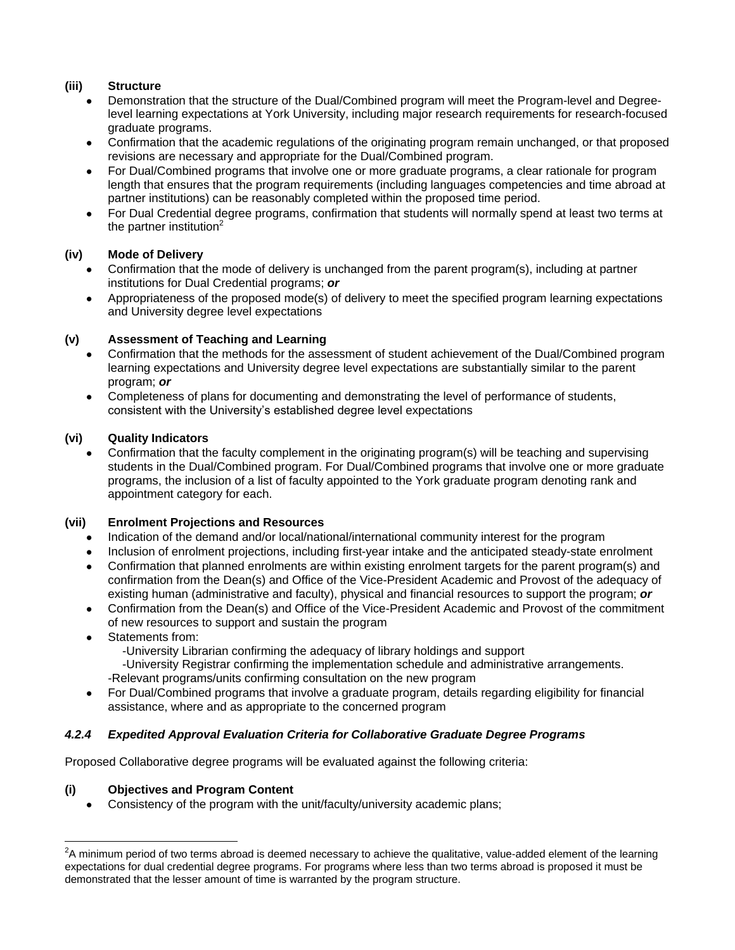## **(iii) Structure**

- Demonstration that the structure of the Dual/Combined program will meet the Program-level and Degreelevel learning expectations at York University, including major research requirements for research-focused graduate programs.
- Confirmation that the academic regulations of the originating program remain unchanged, or that proposed revisions are necessary and appropriate for the Dual/Combined program.
- For Dual/Combined programs that involve one or more graduate programs, a clear rationale for program length that ensures that the program requirements (including languages competencies and time abroad at partner institutions) can be reasonably completed within the proposed time period.
- For Dual Credential degree programs, confirmation that students will normally spend at least two terms at the partner institution $2$

## **(iv) Mode of Delivery**

- Confirmation that the mode of delivery is unchanged from the parent program(s), including at partner institutions for Dual Credential programs; *or*
- Appropriateness of the proposed mode(s) of delivery to meet the specified program learning expectations and University degree level expectations

## **(v) Assessment of Teaching and Learning**

- Confirmation that the methods for the assessment of student achievement of the Dual/Combined program learning expectations and University degree level expectations are substantially similar to the parent program; *or*
- Completeness of plans for documenting and demonstrating the level of performance of students, consistent with the University's established degree level expectations

## **(vi) Quality Indicators**

Confirmation that the faculty complement in the originating program(s) will be teaching and supervising students in the Dual/Combined program. For Dual/Combined programs that involve one or more graduate programs, the inclusion of a list of faculty appointed to the York graduate program denoting rank and appointment category for each.

## **(vii) Enrolment Projections and Resources**

- Indication of the demand and/or local/national/international community interest for the program
- Inclusion of enrolment projections, including first-year intake and the anticipated steady-state enrolment
- Confirmation that planned enrolments are within existing enrolment targets for the parent program(s) and confirmation from the Dean(s) and Office of the Vice-President Academic and Provost of the adequacy of existing human (administrative and faculty), physical and financial resources to support the program; *or*
- Confirmation from the Dean(s) and Office of the Vice-President Academic and Provost of the commitment of new resources to support and sustain the program
- Statements from:

 $\overline{a}$ 

-University Librarian confirming the adequacy of library holdings and support

-University Registrar confirming the implementation schedule and administrative arrangements.

-Relevant programs/units confirming consultation on the new program

For Dual/Combined programs that involve a graduate program, details regarding eligibility for financial assistance, where and as appropriate to the concerned program

## *4.2.4 Expedited Approval Evaluation Criteria for Collaborative Graduate Degree Programs*

Proposed Collaborative degree programs will be evaluated against the following criteria:

## **(i) Objectives and Program Content**

Consistency of the program with the unit/faculty/university academic plans;

 $2A$  minimum period of two terms abroad is deemed necessary to achieve the qualitative, value-added element of the learning expectations for dual credential degree programs. For programs where less than two terms abroad is proposed it must be demonstrated that the lesser amount of time is warranted by the program structure.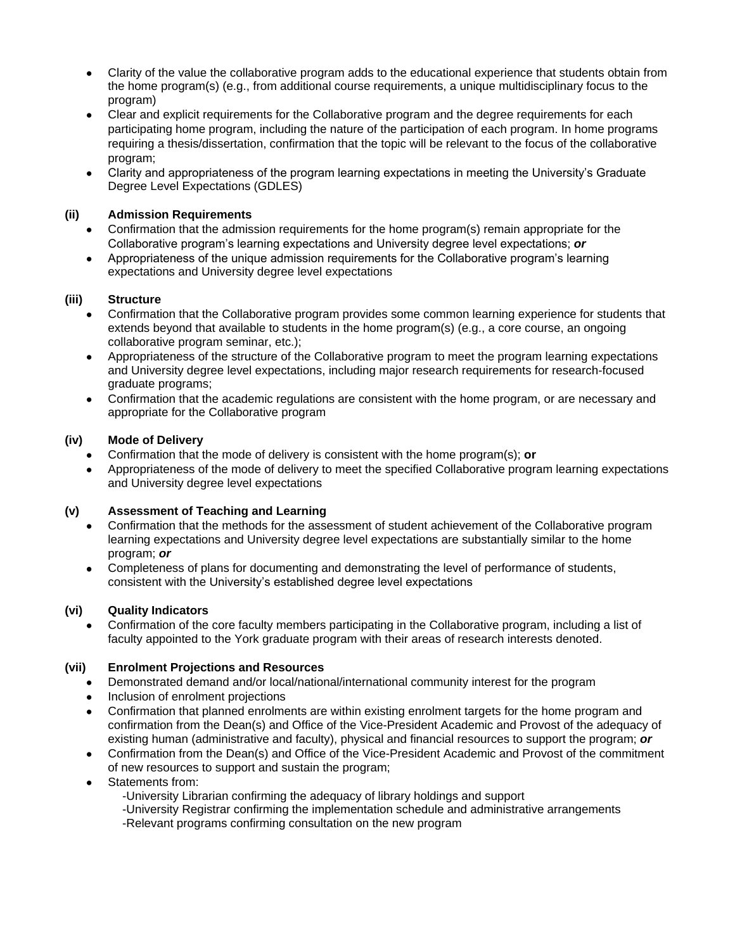- Clarity of the value the collaborative program adds to the educational experience that students obtain from the home program(s) (e.g., from additional course requirements, a unique multidisciplinary focus to the program)
- Clear and explicit requirements for the Collaborative program and the degree requirements for each participating home program, including the nature of the participation of each program. In home programs requiring a thesis/dissertation, confirmation that the topic will be relevant to the focus of the collaborative program;
- Clarity and appropriateness of the program learning expectations in meeting the University's Graduate  $\bullet$ Degree Level Expectations (GDLES)

## **(ii) Admission Requirements**

- Confirmation that the admission requirements for the home program(s) remain appropriate for the Collaborative program's learning expectations and University degree level expectations; *or*
- Appropriateness of the unique admission requirements for the Collaborative program's learning expectations and University degree level expectations

### **(iii) Structure**

- Confirmation that the Collaborative program provides some common learning experience for students that extends beyond that available to students in the home program(s) (e.g., a core course, an ongoing collaborative program seminar, etc.);
- Appropriateness of the structure of the Collaborative program to meet the program learning expectations and University degree level expectations, including major research requirements for research-focused graduate programs;
- Confirmation that the academic regulations are consistent with the home program, or are necessary and appropriate for the Collaborative program

### **(iv) Mode of Delivery**

- Confirmation that the mode of delivery is consistent with the home program(s); **or**
- Appropriateness of the mode of delivery to meet the specified Collaborative program learning expectations and University degree level expectations

## **(v) Assessment of Teaching and Learning**

- Confirmation that the methods for the assessment of student achievement of the Collaborative program learning expectations and University degree level expectations are substantially similar to the home program; *or*
- Completeness of plans for documenting and demonstrating the level of performance of students,  $\bullet$ consistent with the University's established degree level expectations

#### **(vi) Quality Indicators**

Confirmation of the core faculty members participating in the Collaborative program, including a list of faculty appointed to the York graduate program with their areas of research interests denoted.

#### **(vii) Enrolment Projections and Resources**

- Demonstrated demand and/or local/national/international community interest for the program
- Inclusion of enrolment projections
- Confirmation that planned enrolments are within existing enrolment targets for the home program and confirmation from the Dean(s) and Office of the Vice-President Academic and Provost of the adequacy of existing human (administrative and faculty), physical and financial resources to support the program; *or*
- Confirmation from the Dean(s) and Office of the Vice-President Academic and Provost of the commitment  $\bullet$ of new resources to support and sustain the program;
- Statements from:
	- -University Librarian confirming the adequacy of library holdings and support -University Registrar confirming the implementation schedule and administrative arrangements -Relevant programs confirming consultation on the new program